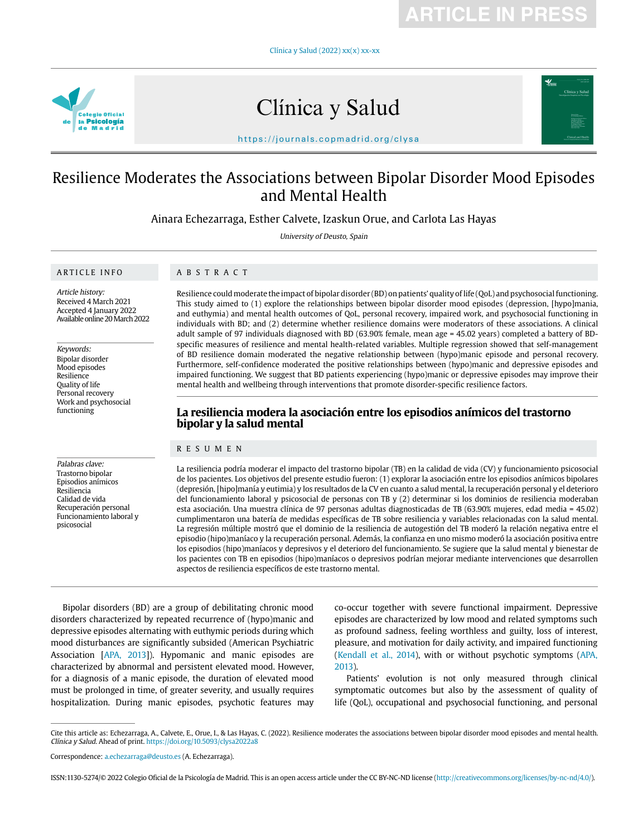**ARTICLE IN PRESS**

Clínica y Salud (2022) xx(x) xx-xx



# Clínica y Salud



https://journals.copmadrid.org/clysa

# Resilience Moderates the Associations between Bipolar Disorder Mood Episodes and Mental Health

Ainara Echezarraga, Esther Calvete, Izaskun Orue, and Carlota Las Hayas

University of Deusto, Spain

#### ARTICLE INFO

# ABSTRACT

Article history: Received 4 March 2021 Accepted 4 January 2022 Available online 20 March 2022

Keywords: Bipolar disorder Mood episodes Resilience Quality of life Personal recovery Work and psychosocial functioning

Palabras clave: Trastorno bipolar Episodios anímicos Resiliencia Calidad de vida Recuperación personal Funcionamiento laboral y psicosocial

Resilience could moderate the impact of bipolar disorder (BD) on patients' quality of life (QoL) and psychosocial functioning. This study aimed to (1) explore the relationships between bipolar disorder mood episodes (depression, [hypo]mania, and euthymia) and mental health outcomes of QoL, personal recovery, impaired work, and psychosocial functioning in individuals with BD; and (2) determine whether resilience domains were moderators of these associations. A clinical adult sample of 97 individuals diagnosed with BD (63.90% female, mean age = 45.02 years) completed a battery of BDspecific measures of resilience and mental health-related variables. Multiple regression showed that self-management of BD resilience domain moderated the negative relationship between (hypo)manic episode and personal recovery. Furthermore, self-confidence moderated the positive relationships between (hypo)manic and depressive episodes and impaired functioning. We suggest that BD patients experiencing (hypo)manic or depressive episodes may improve their mental health and wellbeing through interventions that promote disorder-specific resilience factors.

# **La resiliencia modera la asociación entre los episodios anímicos del trastorno bipolar y la salud mental**

## RESUMEN

La resiliencia podría moderar el impacto del trastorno bipolar (TB) en la calidad de vida (CV) y funcionamiento psicosocial de los pacientes. Los objetivos del presente estudio fueron: (1) explorar la asociación entre los episodios anímicos bipolares (depresión, [hipo]manía y eutimia) y los resultados de la CV en cuanto a salud mental, la recuperación personal y el deterioro del funcionamiento laboral y psicosocial de personas con TB y (2) determinar si los dominios de resiliencia moderaban esta asociación. Una muestra clínica de 97 personas adultas diagnosticadas de TB (63.90% mujeres, edad media = 45.02) cumplimentaron una batería de medidas específicas de TB sobre resiliencia y variables relacionadas con la salud mental. La regresión múltiple mostró que el dominio de la resiliencia de autogestión del TB moderó la relación negativa entre el episodio (hipo)maníaco y la recuperación personal. Además, la confianza en uno mismo moderó la asociación positiva entre los episodios (hipo)maníacos y depresivos y el deterioro del funcionamiento. Se sugiere que la salud mental y bienestar de los pacientes con TB en episodios (hipo)maníacos o depresivos podrían mejorar mediante intervenciones que desarrollen aspectos de resiliencia específicos de este trastorno mental.

Bipolar disorders (BD) are a group of debilitating chronic mood disorders characterized by repeated recurrence of (hypo)manic and depressive episodes alternating with euthymic periods during which mood disturbances are significantly subsided (American Psychiatric Association [APA, 2013]). Hypomanic and manic episodes are characterized by abnormal and persistent elevated mood. However, for a diagnosis of a manic episode, the duration of elevated mood must be prolonged in time, of greater severity, and usually requires hospitalization. During manic episodes, psychotic features may

co-occur together with severe functional impairment. Depressive episodes are characterized by low mood and related symptoms such as profound sadness, feeling worthless and guilty, loss of interest, pleasure, and motivation for daily activity, and impaired functioning (Kendall et al., 2014), with or without psychotic symptoms (APA, 2013).

Patients' evolution is not only measured through clinical symptomatic outcomes but also by the assessment of quality of life (QoL), occupational and psychosocial functioning, and personal

Cite this article as: Echezarraga, A., Calvete, E., Orue, I., & Las Hayas, C. (2022). Resilience moderates the associations between bipolar disorder mood episodes and mental health. Clínica y Salud. Ahead of print. https://doi.org/10.5093/clysa2022a8

Correspondence: a.echezarraga@deusto.es (A. Echezarraga).

ISSN:1130-5274/© 2022 Colegio Oficial de la Psicología de Madrid. This is an open access article under the CC BY-NC-ND license (http://creativecommons.org/licenses/by-nc-nd/4.0/).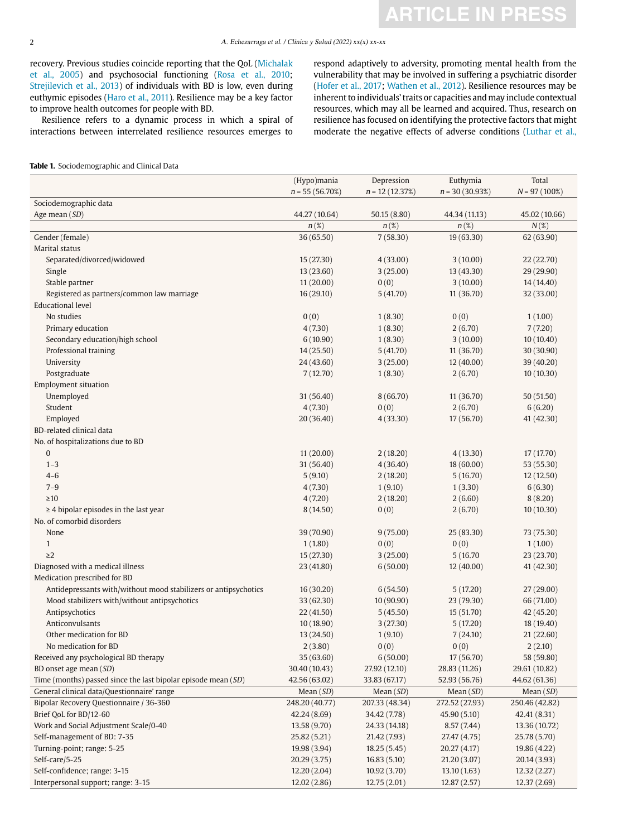recovery. Previous studies coincide reporting that the QoL (Michalak et al., 2005) and psychosocial functioning (Rosa et al., 2010; Strejilevich et al., 2013) of individuals with BD is low, even during euthymic episodes (Haro et al., 2011). Resilience may be a key factor to improve health outcomes for people with BD.

Resilience refers to a dynamic process in which a spiral of interactions between interrelated resilience resources emerges to

respond adaptively to adversity, promoting mental health from the vulnerability that may be involved in suffering a psychiatric disorder (Hofer et al., 2017; Wathen et al., 2012). Resilience resources may be inherent to individuals' traits or capacities and may include contextual resources, which may all be learned and acquired. Thus, research on resilience has focused on identifying the protective factors that might moderate the negative effects of adverse conditions (Luthar et al.,

## **Table 1.** Sociodemographic and Clinical Data

|                                                                 | (Hypo)mania       | Depression       | Euthymia         | Total           |
|-----------------------------------------------------------------|-------------------|------------------|------------------|-----------------|
|                                                                 | $n = 55(56.70\%)$ | $n = 12(12.37%)$ | $n = 30(30.93%)$ | $N = 97(100\%)$ |
| Sociodemographic data                                           |                   |                  |                  |                 |
| Age mean (SD)                                                   | 44.27 (10.64)     | 50.15 (8.80)     | 44.34 (11.13)    | 45.02 (10.66)   |
|                                                                 | $n(\%)$           | $n(\%)$          | $n(\%)$          | $N(\%)$         |
| Gender (female)                                                 | 36 (65.50)        | 7(58.30)         | 19(63.30)        | 62 (63.90)      |
| Marital status                                                  |                   |                  |                  |                 |
| Separated/divorced/widowed                                      | 15 (27.30)        | 4(33.00)         | 3(10.00)         | 22 (22.70)      |
| Single                                                          | 13 (23.60)        | 3(25.00)         | 13 (43.30)       | 29 (29.90)      |
| Stable partner                                                  | 11(20.00)         | 0(0)             | 3(10.00)         | 14 (14.40)      |
| Registered as partners/common law marriage                      | 16(29.10)         | 5(41.70)         | 11 (36.70)       | 32 (33.00)      |
| <b>Educational level</b>                                        |                   |                  |                  |                 |
| No studies                                                      | 0(0)              | 1(8.30)          | 0(0)             | 1(1.00)         |
| Primary education                                               | 4(7.30)           | 1(8.30)          | 2(6.70)          | 7(7.20)         |
| Secondary education/high school                                 | 6(10.90)          | 1(8.30)          | 3(10.00)         | 10(10.40)       |
| Professional training                                           | 14(25.50)         | 5(41.70)         | 11 (36.70)       | 30 (30.90)      |
| University                                                      | 24 (43.60)        | 3(25.00)         | 12(40.00)        | 39 (40.20)      |
| Postgraduate                                                    | 7(12.70)          | 1(8.30)          | 2(6.70)          | 10(10.30)       |
| <b>Employment situation</b>                                     |                   |                  |                  |                 |
| Unemployed                                                      | 31 (56.40)        | 8(66.70)         | 11 (36.70)       | 50 (51.50)      |
| Student                                                         | 4(7.30)           | 0(0)             | 2(6.70)          | 6(6.20)         |
| Employed                                                        | 20 (36.40)        | 4(33.30)         | 17 (56.70)       | 41 (42.30)      |
| BD-related clinical data                                        |                   |                  |                  |                 |
| No. of hospitalizations due to BD                               |                   |                  |                  |                 |
| $\boldsymbol{0}$                                                | 11(20.00)         | 2(18.20)         | 4(13.30)         | 17 (17.70)      |
| $1 - 3$                                                         | 31 (56.40)        | 4(36.40)         | 18 (60.00)       | 53 (55.30)      |
| $4 - 6$                                                         | 5(9.10)           | 2(18.20)         | 5(16.70)         | 12(12.50)       |
| $7 - 9$                                                         | 4(7.30)           | 1(9.10)          | 1(3.30)          | 6(6.30)         |
| $\geq$ 10                                                       | 4(7.20)           | 2(18.20)         | 2(6.60)          | 8(8.20)         |
| $\geq$ 4 bipolar episodes in the last year                      | 8 (14.50)         | 0(0)             | 2(6.70)          | 10(10.30)       |
| No. of comorbid disorders                                       |                   |                  |                  |                 |
| None                                                            | 39 (70.90)        | 9(75.00)         | 25(83.30)        | 73 (75.30)      |
| $\mathbf{1}$                                                    | 1(1.80)           | 0(0)             | 0(0)             | 1(1.00)         |
| $\geq$ 2                                                        | 15(27.30)         | 3(25.00)         | 5 (16.70)        | 23 (23.70)      |
| Diagnosed with a medical illness                                | 23 (41.80)        | 6(50.00)         | 12(40.00)        | 41 (42.30)      |
| Medication prescribed for BD                                    |                   |                  |                  |                 |
| Antidepressants with/without mood stabilizers or antipsychotics | 16 (30.20)        | 6(54.50)         | 5(17.20)         | 27(29.00)       |
| Mood stabilizers with/without antipsychotics                    | 33 (62.30)        | 10 (90.90)       | 23 (79.30)       | 66 (71.00)      |
| Antipsychotics                                                  | 22 (41.50)        | 5(45.50)         | 15(51.70)        | 42 (45.20)      |
| Anticonvulsants                                                 | 10(18.90)         | 3(27.30)         | 5(17.20)         | 18 (19.40)      |
| Other medication for BD                                         | 13 (24.50)        | 1(9.10)          | 7(24.10)         | 21 (22.60)      |
| No medication for BD                                            | 2(3.80)           | 0(0)             | 0(0)             | 2(2.10)         |
| Received any psychological BD therapy                           | 35 (63.60)        | 6(50.00)         | 17 (56.70)       | 58 (59.80)      |
| BD onset age mean (SD)                                          | 30.40 (10.43)     | 27.92 (12.10)    | 28.83 (11.26)    | 29.61 (10.82)   |
| Time (months) passed since the last bipolar episode mean (SD)   | 42.56 (63.02)     | 33.83 (67.17)    | 52.93 (56.76)    | 44.62 (61.36)   |
| General clinical data/Questionnaire' range                      | Mean $(SD)$       | Mean $(SD)$      | Mean $(SD)$      | Mean $(SD)$     |
| Bipolar Recovery Questionnaire / 36-360                         | 248.20 (40.77)    | 207.33 (48.34)   | 272.52 (27.93)   | 250.46 (42.82)  |
| Brief QoL for BD/12-60                                          | 42.24 (8.69)      | 34.42 (7.78)     | 45.90(5.10)      | 42.41 (8.31)    |
| Work and Social Adjustment Scale/0-40                           | 13.58 (9.70)      | 24.33 (14.18)    | 8.57(7.44)       | 13.36 (10.72)   |
| Self-management of BD: 7-35                                     | 25.82 (5.21)      | 21.42 (7.93)     | 27.47 (4.75)     | 25.78 (5.70)    |
| Turning-point; range: 5-25                                      | 19.98 (3.94)      | 18.25(5.45)      | 20.27 (4.17)     | 19.86 (4.22)    |
| Self-care/5-25                                                  | 20.29(3.75)       | 16.83(5.10)      | 21.20(3.07)      | 20.14 (3.93)    |
| Self-confidence; range: 3-15                                    | 12.20 (2.04)      | 10.92(3.70)      | 13.10(1.63)      | 12.32(2.27)     |
| Interpersonal support; range: 3-15                              | 12.02(2.86)       | 12.75 (2.01)     | 12.87(2.57)      | 12.37 (2.69)    |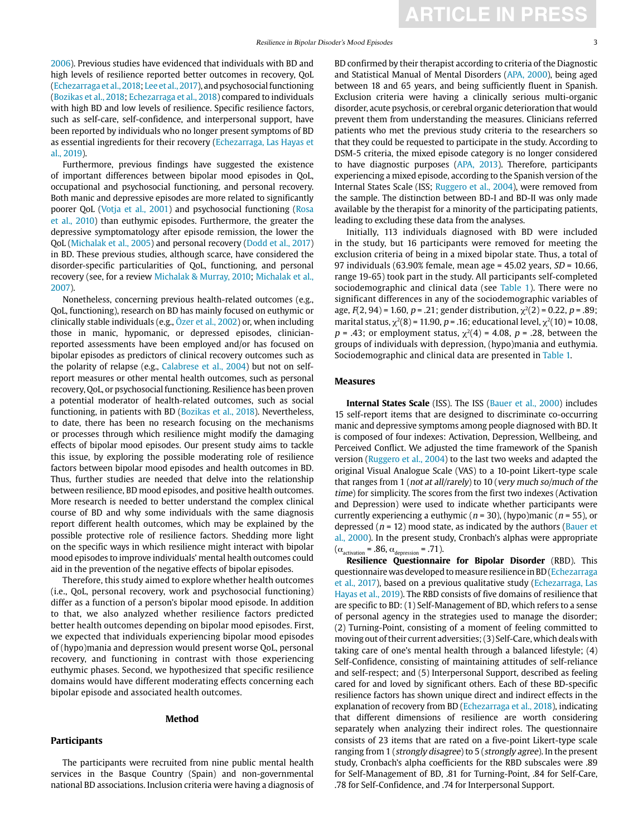2006). Previous studies have evidenced that individuals with BD and high levels of resilience reported better outcomes in recovery, QoL (Echezarraga et al., 2018; Lee et al., 2017), and psychosocial functioning (Bozikas et al., 2018; Echezarraga et al., 2018) compared to individuals with high BD and low levels of resilience. Specific resilience factors, such as self-care, self-confidence, and interpersonal support, have been reported by individuals who no longer present symptoms of BD as essential ingredients for their recovery (Echezarraga, Las Hayas et al., 2019).

Furthermore, previous findings have suggested the existence of important differences between bipolar mood episodes in QoL, occupational and psychosocial functioning, and personal recovery. Both manic and depressive episodes are more related to significantly poorer QoL (Votja et al., 2001) and psychosocial functioning (Rosa et al., 2010) than euthymic episodes. Furthermore, the greater the depressive symptomatology after episode remission, the lower the QoL (Michalak et al., 2005) and personal recovery (Dodd et al., 2017) in BD. These previous studies, although scarce, have considered the disorder-specific particularities of QoL, functioning, and personal recovery (see, for a review Michalak & Murray, 2010; Michalak et al., 2007).

Nonetheless, concerning previous health-related outcomes (e.g., QoL, functioning), research on BD has mainly focused on euthymic or clinically stable individuals (e.g., Özer et al., 2002) or, when including those in manic, hypomanic, or depressed episodes, clinicianreported assessments have been employed and/or has focused on bipolar episodes as predictors of clinical recovery outcomes such as the polarity of relapse (e.g., Calabrese et al., 2004) but not on selfreport measures or other mental health outcomes, such as personal recovery, QoL, or psychosocial functioning. Resilience has been proven a potential moderator of health-related outcomes, such as social functioning, in patients with BD (Bozikas et al., 2018). Nevertheless, to date, there has been no research focusing on the mechanisms or processes through which resilience might modify the damaging effects of bipolar mood episodes. Our present study aims to tackle this issue, by exploring the possible moderating role of resilience factors between bipolar mood episodes and health outcomes in BD. Thus, further studies are needed that delve into the relationship between resilience, BD mood episodes, and positive health outcomes. More research is needed to better understand the complex clinical course of BD and why some individuals with the same diagnosis report different health outcomes, which may be explained by the possible protective role of resilience factors. Shedding more light on the specific ways in which resilience might interact with bipolar mood episodes to improve individuals' mental health outcomes could aid in the prevention of the negative effects of bipolar episodes.

Therefore, this study aimed to explore whether health outcomes (i.e., QoL, personal recovery, work and psychosocial functioning) differ as a function of a person's bipolar mood episode. In addition to that, we also analyzed whether resilience factors predicted better health outcomes depending on bipolar mood episodes. First, we expected that individuals experiencing bipolar mood episodes of (hypo)mania and depression would present worse QoL, personal recovery, and functioning in contrast with those experiencing euthymic phases. Second, we hypothesized that specific resilience domains would have different moderating effects concerning each bipolar episode and associated health outcomes.

# **Method**

# **Participants**

The participants were recruited from nine public mental health services in the Basque Country (Spain) and non-governmental national BD associations. Inclusion criteria were having a diagnosis of BD confirmed by their therapist according to criteria of the Diagnostic and Statistical Manual of Mental Disorders (APA, 2000), being aged between 18 and 65 years, and being sufficiently fluent in Spanish. Exclusion criteria were having a clinically serious multi-organic disorder, acute psychosis, or cerebral organic deterioration that would prevent them from understanding the measures. Clinicians referred patients who met the previous study criteria to the researchers so that they could be requested to participate in the study. According to DSM-5 criteria, the mixed episode category is no longer considered to have diagnostic purposes (APA, 2013). Therefore, participants experiencing a mixed episode, according to the Spanish version of the Internal States Scale (ISS; Ruggero et al., 2004), were removed from the sample. The distinction between BD-I and BD-II was only made available by the therapist for a minority of the participating patients, leading to excluding these data from the analyses.

**ARTICLE IN PRESS**

Initially, 113 individuals diagnosed with BD were included in the study, but 16 participants were removed for meeting the exclusion criteria of being in a mixed bipolar state. Thus, a total of 97 individuals (63.90% female, mean age =  $45.02$  years,  $SD = 10.66$ , range 19-65) took part in the study. All participants self-completed sociodemographic and clinical data (see Table 1). There were no significant differences in any of the sociodemographic variables of age,  $F(2, 94) = 1.60$ ,  $p = .21$ ; gender distribution,  $\chi^2(2) = 0.22$ ,  $p = .89$ ; marital status,  $\chi^2(8)$  = 11.90, p = .16; educational level,  $\chi^2(10)$  = 10.08,  $p = .43$ ; or employment status,  $\chi^2(4) = 4.08$ ,  $p = .28$ , between the groups of individuals with depression, (hypo)mania and euthymia. Sociodemographic and clinical data are presented in Table 1.

#### **Measures**

**Internal States Scale** (ISS). The ISS (Bauer et al., 2000) includes 15 self-report items that are designed to discriminate co-occurring manic and depressive symptoms among people diagnosed with BD. It is composed of four indexes: Activation, Depression, Wellbeing, and Perceived Conflict. We adjusted the time framework of the Spanish version (Ruggero et al., 2004) to the last two weeks and adapted the original Visual Analogue Scale (VAS) to a 10-point Likert-type scale that ranges from 1 (not at all/rarely) to 10 (very much so/much of the time) for simplicity. The scores from the first two indexes (Activation and Depression) were used to indicate whether participants were currently experiencing a euthymic ( $n = 30$ ), (hypo)manic ( $n = 55$ ), or depressed ( $n = 12$ ) mood state, as indicated by the authors (Bauer et al., 2000). In the present study, Cronbach's alphas were appropriate  $(\alpha_{\text{activation}} = .86, \alpha_{\text{depression}} = .71).$ 

**Resilience Questionnaire for Bipolar Disorder** (RBD). This questionnaire was developed to measure resilience in BD (Echezarraga et al., 2017), based on a previous qualitative study (Echezarraga, Las Hayas et al., 2019). The RBD consists of five domains of resilience that are specific to BD: (1) Self-Management of BD, which refers to a sense of personal agency in the strategies used to manage the disorder; (2) Turning-Point, consisting of a moment of feeling committed to moving out of their current adversities; (3) Self-Care, which deals with taking care of one's mental health through a balanced lifestyle; (4) Self-Confidence, consisting of maintaining attitudes of self-reliance and self-respect; and (5) Interpersonal Support, described as feeling cared for and loved by significant others. Each of these BD-specific resilience factors has shown unique direct and indirect effects in the explanation of recovery from BD (Echezarraga et al., 2018), indicating that different dimensions of resilience are worth considering separately when analyzing their indirect roles. The questionnaire consists of 23 items that are rated on a five-point Likert-type scale ranging from 1 (strongly disagree) to 5 (strongly agree). In the present study, Cronbach's alpha coefficients for the RBD subscales were .89 for Self-Management of BD, .81 for Turning-Point, .84 for Self-Care, .78 for Self-Confidence, and .74 for Interpersonal Support.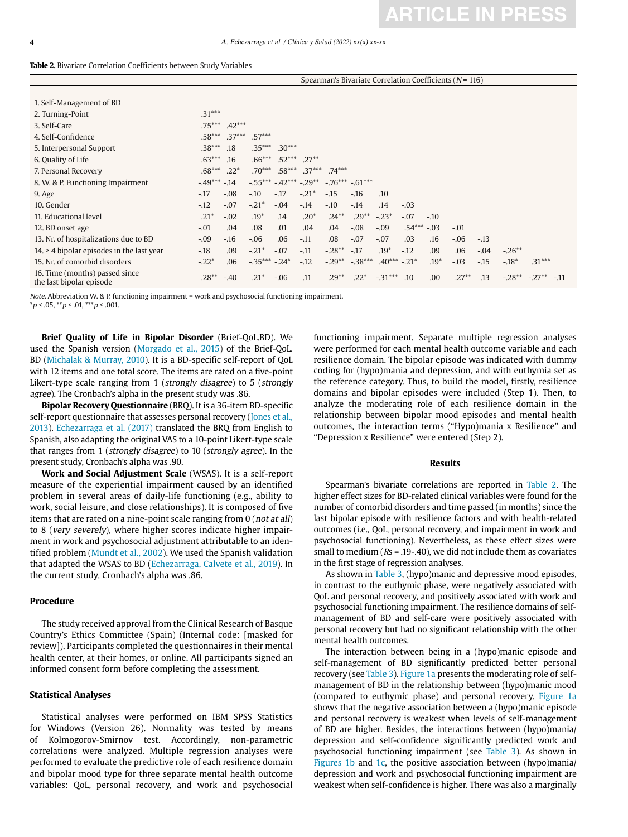| <b>Table 2.</b> Bivariate Correlation Coefficients between Study Variables |
|----------------------------------------------------------------------------|
|----------------------------------------------------------------------------|

|                                                            | Spearman's Bivariate Correlation Coefficients ( $N = 116$ ) |          |               |                                 |          |                     |         |               |          |        |         |        |           |                  |
|------------------------------------------------------------|-------------------------------------------------------------|----------|---------------|---------------------------------|----------|---------------------|---------|---------------|----------|--------|---------|--------|-----------|------------------|
|                                                            |                                                             |          |               |                                 |          |                     |         |               |          |        |         |        |           |                  |
| 1. Self-Management of BD                                   |                                                             |          |               |                                 |          |                     |         |               |          |        |         |        |           |                  |
| 2. Turning-Point                                           | $.31***$                                                    |          |               |                                 |          |                     |         |               |          |        |         |        |           |                  |
| 3. Self-Care                                               | $.75***$                                                    | $.42***$ |               |                                 |          |                     |         |               |          |        |         |        |           |                  |
| 4. Self-Confidence                                         | $.58***$                                                    | $.37***$ | $.57***$      |                                 |          |                     |         |               |          |        |         |        |           |                  |
| 5. Interpersonal Support                                   | $.38***$                                                    | .18      | $.35***$      | $.30***$                        |          |                     |         |               |          |        |         |        |           |                  |
| 6. Quality of Life                                         | $.63***$                                                    | .16      | $.66***$      | $.52***$                        | $.27**$  |                     |         |               |          |        |         |        |           |                  |
| 7. Personal Recovery                                       | $.68***$                                                    | $.22*$   | $.70***$      | $.58***$                        | $.37***$ | $.74***$            |         |               |          |        |         |        |           |                  |
| 8. W. & P. Functioning Impairment                          | $-49***$                                                    | $-14$    |               | $-0.55***$ $-0.42***$ $-0.29**$ |          | $-.76***-.61***$    |         |               |          |        |         |        |           |                  |
| 9. Age                                                     | $-17$                                                       | $-.08$   | $-.10$        | $-.17$                          | $-.21*$  | $-15$               | $-.16$  | .10           |          |        |         |        |           |                  |
| 10. Gender                                                 | $-12$                                                       | $-.07$   | $-.21*$       | $-.04$                          | $-.14$   | $-.10$              | $-14$   | .14           | $-.03$   |        |         |        |           |                  |
| 11. Educational level                                      | $.21*$                                                      | $-.02$   | $.19*$        | .14                             | $.20*$   | $.24***$            | $.29**$ | $-.23*$       | $-.07$   | $-.10$ |         |        |           |                  |
| 12. BD onset age                                           | $-.01$                                                      | .04      | .08           | .01                             | .04      | .04                 | $-.08$  | $-.09$        | $.54***$ | $-.03$ | $-.01$  |        |           |                  |
| 13. Nr. of hospitalizations due to BD                      | $-.09$                                                      | $-16$    | $-.06$        | .06                             | $-11$    | .08                 | $-.07$  | $-.07$        | .03      | .16    | $-.06$  | $-.13$ |           |                  |
| 14. $\geq$ 4 bipolar episodes in the last year             | $-.18$                                                      | .09      | $-.21*$       | $-.07$                          | $-.11$   | $-.28**$            | $-.17$  | $.19*$        | $-.12$   | .09    | .06     | $-.04$ | $-.26***$ |                  |
| 15. Nr. of comorbid disorders                              | $-.22*$                                                     | .06      | $-35*** -24*$ |                                 | $-12$    | $-.29***$ $-.38***$ |         | $.40***-.21*$ |          | $.19*$ | $-.03$  | $-15$  | $-.18*$   | $.31***$         |
| 16. Time (months) passed since<br>the last bipolar episode | $.28***$                                                    | $-.40$   | $.21*$        | $-.06$                          | .11      | $.29***$            | $.22*$  | $-.31***$     | .10      | .00.   | $.27**$ | .13    | $-.28**$  | $-.27***$ $-.11$ |

Note. Abbreviation W. & P. functioning impairment = work and psychosocial functioning impairment.

 $**p* ≤ .05, ***p* ≤ .01, ****p* ≤ .001.$ 

**Brief Quality of Life in Bipolar Disorder** (Brief-QoL.BD). We used the Spanish version (Morgado et al., 2015) of the Brief-QoL. BD (Michalak & Murray, 2010). It is a BD-specific self-report of QoL with 12 items and one total score. The items are rated on a five-point Likert-type scale ranging from 1 (strongly disagree) to 5 (strongly agree). The Cronbach's alpha in the present study was .86.

**Bipolar Recovery Questionnaire** (BRQ). It is a 36-item BD-specific self-report questionnaire that assesses personal recovery (Jones et al., 2013). Echezarraga et al. (2017) translated the BRQ from English to Spanish, also adapting the original VAS to a 10-point Likert-type scale that ranges from 1 (strongly disagree) to 10 (strongly agree). In the present study, Cronbach's alpha was .90.

**Work and Social Adjustment Scale** (WSAS). It is a self-report measure of the experiential impairment caused by an identified problem in several areas of daily-life functioning (e.g., ability to work, social leisure, and close relationships). It is composed of five items that are rated on a nine-point scale ranging from 0 (not at all) to 8 (very severely), where higher scores indicate higher impairment in work and psychosocial adjustment attributable to an identified problem (Mundt et al., 2002). We used the Spanish validation that adapted the WSAS to BD (Echezarraga, Calvete et al., 2019). In the current study, Cronbach's alpha was .86.

#### **Procedure**

The study received approval from the Clinical Research of Basque Country's Ethics Committee (Spain) (Internal code: [masked for review]). Participants completed the questionnaires in their mental health center, at their homes, or online. All participants signed an informed consent form before completing the assessment.

#### **Statistical Analyses**

Statistical analyses were performed on IBM SPSS Statistics for Windows (Version 26). Normality was tested by means of Kolmogorov-Smirnov test. Accordingly, non-parametric correlations were analyzed. Multiple regression analyses were performed to evaluate the predictive role of each resilience domain and bipolar mood type for three separate mental health outcome variables: QoL, personal recovery, and work and psychosocial functioning impairment. Separate multiple regression analyses were performed for each mental health outcome variable and each resilience domain. The bipolar episode was indicated with dummy coding for (hypo)mania and depression, and with euthymia set as the reference category. Thus, to build the model, firstly, resilience domains and bipolar episodes were included (Step 1). Then, to analyze the moderating role of each resilience domain in the relationship between bipolar mood episodes and mental health outcomes, the interaction terms ("Hypo)mania x Resilience" and "Depression x Resilience" were entered (Step 2).

#### **Results**

Spearman's bivariate correlations are reported in Table 2. The higher effect sizes for BD-related clinical variables were found for the number of comorbid disorders and time passed (in months) since the last bipolar episode with resilience factors and with health-related outcomes (i.e., QoL, personal recovery, and impairment in work and psychosocial functioning). Nevertheless, as these effect sizes were small to medium ( $Rs = .19-.40$ ), we did not include them as covariates in the first stage of regression analyses.

As shown in Table 3, (hypo)manic and depressive mood episodes, in contrast to the euthymic phase, were negatively associated with QoL and personal recovery, and positively associated with work and psychosocial functioning impairment. The resilience domains of selfmanagement of BD and self-care were positively associated with personal recovery but had no significant relationship with the other mental health outcomes.

The interaction between being in a (hypo)manic episode and self-management of BD significantly predicted better personal recovery (see Table 3). Figure 1a presents the moderating role of selfmanagement of BD in the relationship between (hypo)manic mood (compared to euthymic phase) and personal recovery. Figure 1a shows that the negative association between a (hypo)manic episode and personal recovery is weakest when levels of self-management of BD are higher. Besides, the interactions between (hypo)mania/ depression and self-confidence significantly predicted work and psychosocial functioning impairment (see Table 3). As shown in Figures 1b and 1c, the positive association between (hypo)mania/ depression and work and psychosocial functioning impairment are weakest when self-confidence is higher. There was also a marginally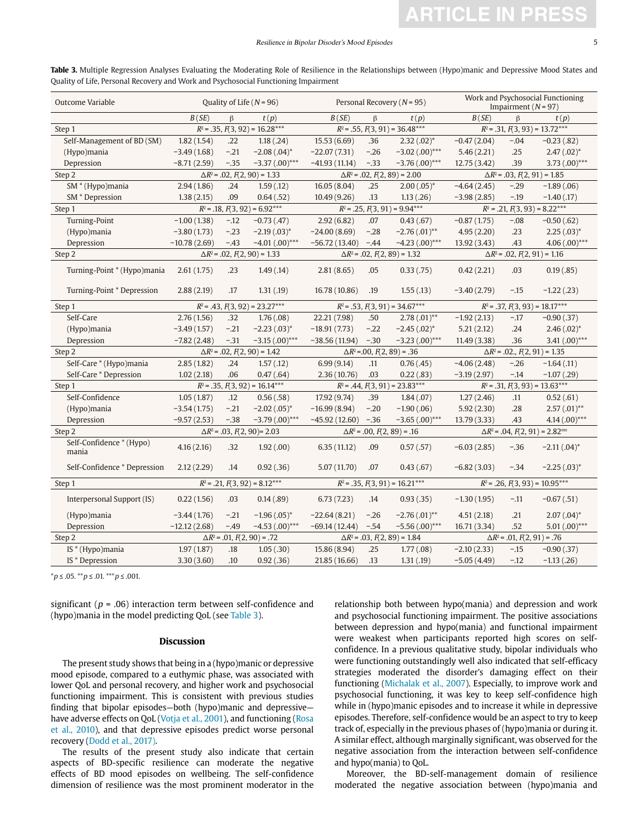| Outcome Variable                  | Quality of Life ( $N = 96$ )          |         |                                       |                          |                                     | Personal Recovery ( $N = 95$ )                      | Work and Psychosocial Functioning<br>Impairment $(N = 97)$ |        |                  |  |
|-----------------------------------|---------------------------------------|---------|---------------------------------------|--------------------------|-------------------------------------|-----------------------------------------------------|------------------------------------------------------------|--------|------------------|--|
|                                   | B(SE)                                 | $\beta$ | t(p)                                  | B(SE)<br>$\beta$<br>t(p) |                                     | B(SE)                                               | $\beta$<br>t(p)                                            |        |                  |  |
| Step 1                            | $R^2$ = .35, $F(3, 92)$ = 16.28***    |         | $R^2$ = .55, $F(3, 91)$ = 36.48***    |                          |                                     | $R^2$ = .31, $F(3, 93)$ = 13.72***                  |                                                            |        |                  |  |
| Self-Management of BD (SM)        | 1.82(1.54)                            | .22     | 1.18(.24)                             | 15.53 (6.69)             | .36                                 | $2.32(.02)^*$                                       | $-0.47(2.04)$                                              | $-.04$ | $-0.23(0.82)$    |  |
| (Hypo)mania                       | $-3.49(1.68)$                         | $-.21$  | $-2.08(.04)^*$                        | $-22.07(7.31)$           | $-.26$                              | $-3.02(.00)$ ***                                    | 5.46(2.21)                                                 | .25    | $2.47(.02)^*$    |  |
| Depression                        | $-8.71(2.59)$                         | $-35$   | $-3.37(0.00)$ ***                     | $-41.93(11.14)$          | $-.33$                              | $-3.76(0.00)$ ***                                   | 12.75(3.42)                                                | .39    | 3.73 $(.00)$ *** |  |
| Step 2                            | $\Delta R^2$ = .02, $F(2, 90)$ = 1.33 |         |                                       |                          |                                     | $\Delta R^2$ = .02, $F(2, 89)$ = 2.00               | $\Delta R^2$ = .03, $F(2, 91)$ = 1.85                      |        |                  |  |
| SM * (Hypo)mania                  | 2.94(1.86)                            | .24     | 1.59(0.12)                            | 16.05(8.04)              | .25                                 | $2.00(.05)^*$                                       | $-4.64(2.45)$                                              | $-.29$ | $-1.89(.06)$     |  |
| SM <sup>*</sup> Depression        | 1.38(2.15)                            | .09     | 0.64(0.52)                            | 10.49(9.26)              | .13                                 | 1.13(.26)                                           | $-3.98(2.85)$                                              | $-19$  | $-1.40(0.17)$    |  |
| Step 1                            | $R^2$ = .18, $F(3, 92)$ = 6.92***     |         |                                       |                          |                                     | $R^2$ = .25, $F(3, 91)$ = 9.94***                   | $R^2$ = .21, $F(3, 93)$ = 8.22***                          |        |                  |  |
| Turning-Point                     | $-1.00(1.38)$                         | $-12$   | $-0.73(0.47)$                         | 2.92(6.82)               | .07                                 | 0.43(.67)                                           | $-0.87(1.75)$                                              | $-.08$ | $-0.50(.62)$     |  |
| (Hypo)mania                       | $-3.80(1.73)$                         | $-23$   | $-2.19(.03)^{*}$                      | $-24.00(8.69)$           | $-.28$                              | $-2.76(.01)$ **                                     | 4.95(2.20)                                                 | .23    | $2.25(.03)^*$    |  |
| Depression                        | $-10.78(2.69)$                        | $-43$   | $-4.01(.00)$ ***                      | $-56.72(13.40)$          | $-.44$                              | $-4.23(0.00)$ ***                                   | 13.92 (3.43)                                               | .43    | $4.06(.00)$ ***  |  |
| Step 2                            |                                       |         | $\Delta R^2$ = .02, $F(2, 90)$ = 1.33 |                          |                                     | $\Delta R^2$ = .02, $F(2, 89)$ = 1.32               | $\Delta R^2$ = .02, $F(2, 91)$ = 1.16                      |        |                  |  |
| Turning-Point * (Hypo)mania       | 2.61(1.75)                            | .23     | 1.49(0.14)                            | 2.81(8.65)               | .05                                 | 0.33(0.75)                                          | 0.42(2.21)                                                 | .03    | 0.19(.85)        |  |
| Turning-Point * Depression        | 2.88(2.19)                            | .17     | 1.31(0.19)                            | 16.78 (10.86)            | .19                                 | 1.55(0.13)                                          | $-3.40(2.79)$                                              | $-15$  | $-1.22(0.23)$    |  |
| Step 1                            | $R^2$ = .43, $F(3, 92)$ = 23.27***    |         | $R^2$ = .53, $F(3, 91)$ = 34.67***    |                          |                                     | $R^2$ = .37, $F(3, 93)$ = 18.17***                  |                                                            |        |                  |  |
| Self-Care                         | 2.76(1.56)                            | .32     | 1.76(.08)                             | 22.21 (7.98)             | .50                                 | $2.78(.01)$ **                                      | $-1.92(2.13)$                                              | $-.17$ | $-0.90(.37)$     |  |
| (Hypo)mania                       | $-3.49(1.57)$                         | $-.21$  | $-2.23(.03)^*$                        | $-18.91(7.73)$           | $-.22$                              | $-2.45(.02)^*$                                      | 5.21(2.12)                                                 | .24    | $2.46(.02)^{*}$  |  |
| Depression                        | $-7.82(2.48)$                         | $-.31$  | $-3.15(.00)$ ***                      | $-38.56(11.94)$          | $-.30$                              | $-3.23(0.00)$ ***                                   | 11.49(3.38)                                                | .36    | 3.41 $(.00)$ *** |  |
| Step 2                            |                                       |         | $\Delta R^2$ = .02, $F(2, 90)$ = 1.42 |                          | $\Delta R^2$ = 00, $F(2, 89)$ = .36 |                                                     | $\Delta R^2$ = .02., $F(2, 91)$ = 1.35                     |        |                  |  |
| Self-Care * (Hypo)mania           | 2.85(1.82)                            | .24     | 1.57(0.12)                            | 6.99(9.14)               | .11                                 | 0.76(.45)                                           | $-4.06(2.48)$                                              | $-.26$ | $-1.64(0.11)$    |  |
| Self-Care * Depression            | 1.02(2.18)                            | .06     | 0.47(.64)                             | 2.36(10.76)              | .03                                 | 0.22(.83)                                           | $-3.19(2.97)$                                              | $-.14$ | $-1.07(0.29)$    |  |
| Step 1                            | $R^2$ = .35, $F(3, 92)$ = 16.14***    |         |                                       |                          |                                     | $R^2$ = .44, $F(3, 91)$ = 23.83***                  | $R^2$ = .31, $F(3, 93)$ = 13.63***                         |        |                  |  |
| Self-Confidence                   | 1.05(1.87)                            | .12     | 0.56(.58)                             | 17.92 (9.74)             | .39                                 | 1.84(.07)                                           | 1.27(2.46)                                                 | .11    | 0.52(.61)        |  |
| (Hypo)mania                       | $-3.54(1.75)$                         | $-.21$  | $-2.02(.05)^*$                        | $-16.99(8.94)$           | $-.20$                              | $-1.90(.06)$                                        | 5.92(2.30)                                                 | .28    | $2.57(.01)$ **   |  |
| Depression                        | $-9.57(2.53)$                         | $-38$   | $-3.79(0.00)$ ***                     | $-45.92(12.60)$          | $-.36$                              | $-3.65(.00)$ ***                                    | 13.79(3.33)                                                | .43    | $4.14(.00)$ ***  |  |
| Step 2                            | $\Delta R^2$ = .03, $F(2, 90)$ = 2.03 |         | $\Delta R^2$ = .00, $F(2, 89)$ = .16  |                          |                                     | $\Delta R^2$ = .04, $F(2, 91)$ = 2.82 <sup>ms</sup> |                                                            |        |                  |  |
| Self-Confidence * (Hypo)<br>mania | 4.16(2.16)                            | .32     | 1.92(0.00)                            | 6.35(11.12)              | .09                                 | 0.57(.57)                                           | $-6.03(2.85)$                                              | $-.36$ | $-2.11(.04)^*$   |  |
| Self-Confidence * Depression      | 2.12(2.29)                            | .14     | 0.92(0.36)                            | 5.07 (11.70)             | .07                                 | 0.43(0.67)                                          | $-6.82(3.03)$                                              | $-.34$ | $-2.25(.03)^{*}$ |  |
| Step 1                            | $R^2$ = .21, $F(3, 92)$ = 8.12***     |         | $R^2$ = .35, $F(3, 91)$ = 16.21***    |                          |                                     | $R^2$ = .26, $F(3, 93)$ = 10.95***                  |                                                            |        |                  |  |
| Interpersonal Support (IS)        | 0.22(1.56)                            | .03     | 0.14(.89)                             | 6.73(7.23)               | .14                                 | 0.93(0.35)                                          | $-1.30(1.95)$                                              | $-.11$ | $-0.67(.51)$     |  |
| (Hypo)mania                       | $-3.44(1.76)$                         | $-.21$  | $-1.96(.05)^{*}$                      | $-22.64(8.21)$           | $-.26$                              | $-2.76(.01)$ **                                     | 4.51(2.18)                                                 | .21    | $2.07(.04)^*$    |  |
| Depression                        | $-12.12(2.68)$                        | $-49$   | $-4.53(0.00)$ ***                     | $-69.14(12.44)$          | $-.54$                              | $-5.56(.00)$ ***                                    | 16.71 (3.34)                                               | .52    | $5.01(.00)$ ***  |  |
| Step 2                            |                                       |         | $\Delta R^2$ = .01, $F(2, 90)$ = .72  |                          |                                     | $\Delta R^2$ = .03, $F(2, 89)$ = 1.84               | $\Delta R^2$ = .01, $F(2, 91)$ = .76                       |        |                  |  |
| $IS*(Hypo)$ mania                 | 1.97(1.87)                            | .18     | 1.05(.30)                             | 15.86 (8.94)             | .25                                 | 1.77(0.08)                                          | $-2.10(2.33)$                                              | $-.15$ | $-0.90(0.37)$    |  |
| IS * Depression                   | 3.30(3.60)                            | .10     | 0.92(.36)                             | 21.85 (16.66)            | .13                                 | 1.31(0.19)                                          | $-5.05(4.49)$                                              | $-.12$ | $-1.13(0.26)$    |  |

**Table 3.** Multiple Regression Analyses Evaluating the Moderating Role of Resilience in the Relationships between (Hypo)manic and Depressive Mood States and Quality of Life, Personal Recovery and Work and Psychosocial Functioning Impairment

 $**p* \le .05$ .  $**p* \le .01$ .  $**p* \le .001$ .

significant ( $p = .06$ ) interaction term between self-confidence and (hypo)mania in the model predicting QoL (see Table 3).

#### **Discussion**

The present study shows that being in a (hypo)manic or depressive mood episode, compared to a euthymic phase, was associated with lower QoL and personal recovery, and higher work and psychosocial functioning impairment. This is consistent with previous studies finding that bipolar episodes—both (hypo)manic and depressive have adverse effects on QoL (Votja et al., 2001), and functioning (Rosa et al., 2010), and that depressive episodes predict worse personal recovery (Dodd et al., 2017).

The results of the present study also indicate that certain aspects of BD-specific resilience can moderate the negative effects of BD mood episodes on wellbeing. The self-confidence dimension of resilience was the most prominent moderator in the relationship both between hypo(mania) and depression and work and psychosocial functioning impairment. The positive associations between depression and hypo(mania) and functional impairment were weakest when participants reported high scores on selfconfidence. In a previous qualitative study, bipolar individuals who were functioning outstandingly well also indicated that self-efficacy strategies moderated the disorder's damaging effect on their functioning (Michalak et al., 2007). Especially, to improve work and psychosocial functioning, it was key to keep self-confidence high while in (hypo)manic episodes and to increase it while in depressive episodes. Therefore, self-confidence would be an aspect to try to keep track of, especially in the previous phases of (hypo)mania or during it. A similar effect, although marginally significant, was observed for the negative association from the interaction between self-confidence and hypo(mania) to QoL.

Moreover, the BD-self-management domain of resilience moderated the negative association between (hypo)mania and

**ARTICLE IN PRESS**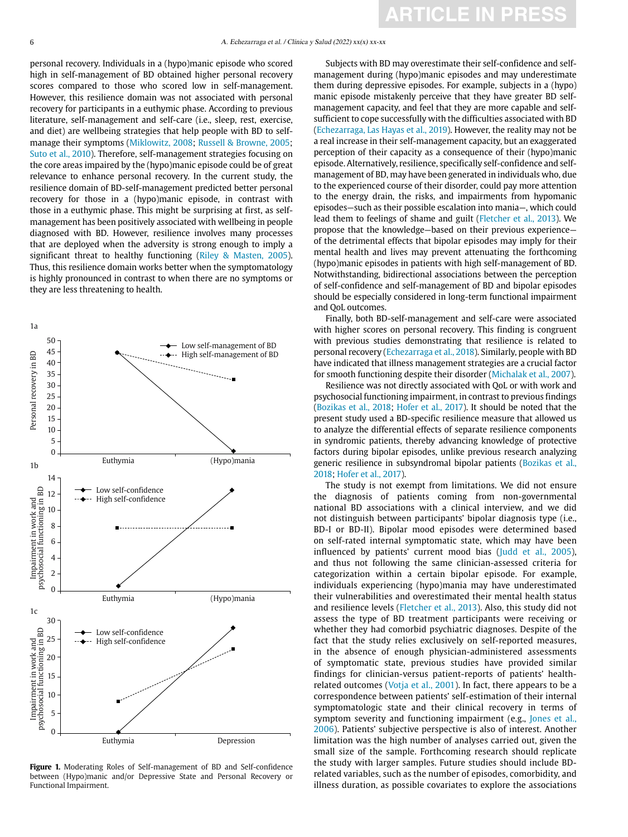personal recovery. Individuals in a (hypo)manic episode who scored high in self-management of BD obtained higher personal recovery scores compared to those who scored low in self-management. However, this resilience domain was not associated with personal recovery for participants in a euthymic phase. According to previous literature, self-management and self-care (i.e., sleep, rest, exercise, and diet) are wellbeing strategies that help people with BD to selfmanage their symptoms (Miklowitz, 2008; Russell & Browne, 2005; Suto et al., 2010). Therefore, self-management strategies focusing on the core areas impaired by the (hypo)manic episode could be of great relevance to enhance personal recovery. In the current study, the resilience domain of BD-self-management predicted better personal recovery for those in a (hypo)manic episode, in contrast with those in a euthymic phase. This might be surprising at first, as selfmanagement has been positively associated with wellbeing in people diagnosed with BD. However, resilience involves many processes that are deployed when the adversity is strong enough to imply a significant threat to healthy functioning (Riley & Masten, 2005). Thus, this resilience domain works better when the symptomatology is highly pronounced in contrast to when there are no symptoms or they are less threatening to health.



**Figure 1.** Moderating Roles of Self-management of BD and Self-confidence between (Hypo)manic and/or Depressive State and Personal Recovery or Functional Impairment.

Subjects with BD may overestimate their self-confidence and selfmanagement during (hypo)manic episodes and may underestimate them during depressive episodes. For example, subjects in a (hypo) manic episode mistakenly perceive that they have greater BD selfmanagement capacity, and feel that they are more capable and selfsufficient to cope successfully with the difficulties associated with BD (Echezarraga, Las Hayas et al., 2019). However, the reality may not be a real increase in their self-management capacity, but an exaggerated perception of their capacity as a consequence of their (hypo)manic episode. Alternatively, resilience, specifically self-confidence and selfmanagement of BD, may have been generated in individuals who, due to the experienced course of their disorder, could pay more attention to the energy drain, the risks, and impairments from hypomanic episodes—such as their possible escalation into mania—, which could lead them to feelings of shame and guilt (Fletcher et al., 2013). We propose that the knowledge—based on their previous experience of the detrimental effects that bipolar episodes may imply for their mental health and lives may prevent attenuating the forthcoming (hypo)manic episodes in patients with high self-management of BD. Notwithstanding, bidirectional associations between the perception of self-confidence and self-management of BD and bipolar episodes should be especially considered in long-term functional impairment and QoL outcomes.

Finally, both BD-self-management and self-care were associated with higher scores on personal recovery. This finding is congruent with previous studies demonstrating that resilience is related to personal recovery (Echezarraga et al., 2018). Similarly, people with BD have indicated that illness management strategies are a crucial factor for smooth functioning despite their disorder (Michalak et al., 2007).

Resilience was not directly associated with QoL or with work and psychosocial functioning impairment, in contrast to previous findings (Bozikas et al., 2018; Hofer et al., 2017). It should be noted that the present study used a BD-specific resilience measure that allowed us to analyze the differential effects of separate resilience components in syndromic patients, thereby advancing knowledge of protective factors during bipolar episodes, unlike previous research analyzing generic resilience in subsyndromal bipolar patients (Bozikas et al., 2018; Hofer et al., 2017).

The study is not exempt from limitations. We did not ensure the diagnosis of patients coming from non-governmental national BD associations with a clinical interview, and we did not distinguish between participants' bipolar diagnosis type (i.e., BD-I or BD-II). Bipolar mood episodes were determined based on self-rated internal symptomatic state, which may have been influenced by patients' current mood bias (Judd et al., 2005), and thus not following the same clinician-assessed criteria for categorization within a certain bipolar episode. For example, individuals experiencing (hypo)mania may have underestimated their vulnerabilities and overestimated their mental health status and resilience levels (Fletcher et al., 2013). Also, this study did not assess the type of BD treatment participants were receiving or whether they had comorbid psychiatric diagnoses. Despite of the fact that the study relies exclusively on self-reported measures, in the absence of enough physician-administered assessments of symptomatic state, previous studies have provided similar findings for clinician-versus patient-reports of patients' healthrelated outcomes (Votja et al., 2001). In fact, there appears to be a correspondence between patients' self-estimation of their internal symptomatologic state and their clinical recovery in terms of symptom severity and functioning impairment (e.g., Jones et al., 2006). Patients' subjective perspective is also of interest. Another limitation was the high number of analyses carried out, given the small size of the sample. Forthcoming research should replicate the study with larger samples. Future studies should include BDrelated variables, such as the number of episodes, comorbidity, and illness duration, as possible covariates to explore the associations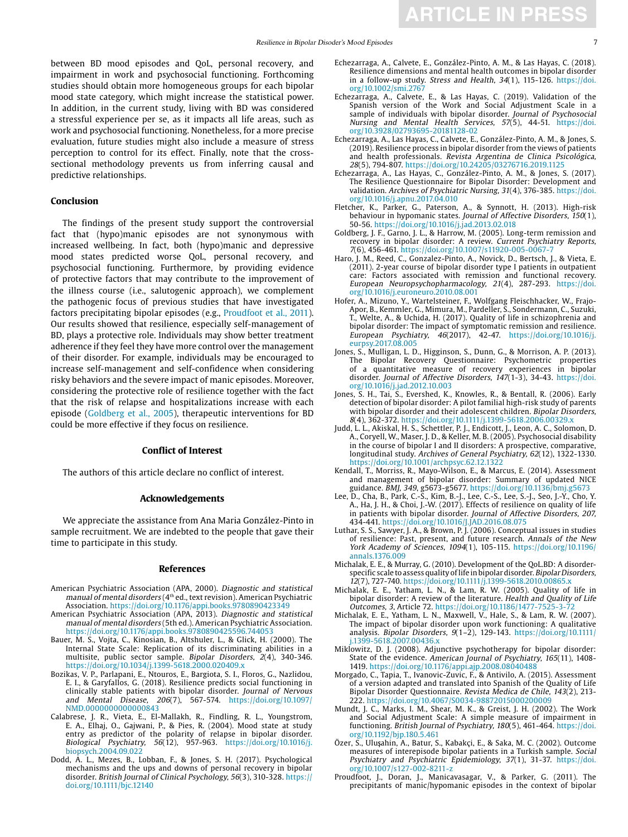between BD mood episodes and QoL, personal recovery, and impairment in work and psychosocial functioning. Forthcoming studies should obtain more homogeneous groups for each bipolar mood state category, which might increase the statistical power. In addition, in the current study, living with BD was considered a stressful experience per se, as it impacts all life areas, such as work and psychosocial functioning. Nonetheless, for a more precise evaluation, future studies might also include a measure of stress perception to control for its effect. Finally, note that the crosssectional methodology prevents us from inferring causal and predictive relationships.

# **Conclusion**

The findings of the present study support the controversial fact that (hypo)manic episodes are not synonymous with increased wellbeing. In fact, both (hypo)manic and depressive mood states predicted worse QoL, personal recovery, and psychosocial functioning. Furthermore, by providing evidence of protective factors that may contribute to the improvement of the illness course (i.e., salutogenic approach), we complement the pathogenic focus of previous studies that have investigated factors precipitating bipolar episodes (e.g., Proudfoot et al., 2011). Our results showed that resilience, especially self-management of BD, plays a protective role. Individuals may show better treatment adherence if they feel they have more control over the management of their disorder. For example, individuals may be encouraged to increase self-management and self-confidence when considering risky behaviors and the severe impact of manic episodes. Moreover, considering the protective role of resilience together with the fact that the risk of relapse and hospitalizations increase with each episode (Goldberg et al., 2005), therapeutic interventions for BD could be more effective if they focus on resilience.

#### **Conflict of Interest**

The authors of this article declare no conflict of interest.

#### **Acknowledgements**

We appreciate the assistance from Ana Maria González-Pinto in sample recruitment. We are indebted to the people that gave their time to participate in this study.

#### **References**

- American Psychiatric Association (APA, 2000). Diagnostic and statistical manual of mental disorders (4th ed., text revision). American Psychiatric Association.<https://doi.org/10.1176/appi.books.9780890423349>
- American Psychiatric Association (APA, 2013). Diagnostic and statistical manual of mental disorders (5th ed.). American Psychiatric Association. <https://doi.org/10.1176/appi.books.9780890425596.744053>
- Bauer, M. S., Vojta, C., Kinosian, B., Altshuler, L., & Glick, H. (2000). The Internal State Scale: Replication of its discriminating abilities in a multisite, public sector sample. Bipolar Disorders, 2(4), 340-346. <https://doi.org/10.1034/j.1399-5618.2000.020409.x>
- Bozikas, V. P., Parlapani, E., Ntouros, E., Bargiota, S. I., Floros, G., Nazlidou, E. I., & Garyfallos, G. (2018). Resilience predicts social functioning in clinically stable patients with bipolar disorder. Journal of Nervous and Mental Disease, 206(7), 567-574. [https://doi.org/10.1097/](https://doi.org/10.1097/NMD.0000000000000843) [NMD.0000000000000843](https://doi.org/10.1097/NMD.0000000000000843)
- Calabrese, J. R., Vieta, E., El-Mallakh, R., Findling, R. L., Youngstrom, E. A., Elhaj, O., Gajwani, P., & Pies, R. (2004). Mood state at study entry as predictor of the polarity of relapse in bipolar disorder. Biological Psychiatry, 56(12), 957-963. [https://doi.org/10.1016/j.](https://doi.org/10.1016/j.biopsych.2004.09.022) [biopsych.2004.09.022](https://doi.org/10.1016/j.biopsych.2004.09.022)
- Dodd, A. L., Mezes, B., Lobban, F., & Jones, S. H. (2017). Psychological mechanisms and the ups and downs of personal recovery in bipolar disorder. British Journal of Clinical Psychology, 56(3), 310-328. [https://](https://doi.org/10.1111/bjc.12140) [doi.org/10.1111/bjc.12140](https://doi.org/10.1111/bjc.12140)
- Echezarraga, A., Calvete, E., González-Pinto, A. M., & Las Hayas, C. (2018). Resilience dimensions and mental health outcomes in bipolar disorder in a follow-up study. Stress and Health, 34(1), 115-126. [https://doi.](https://doi.org/10.1002/smi.2767) [org/10.1002/smi.2767](https://doi.org/10.1002/smi.2767)
- Echezarraga, A., Calvete, E., & Las Hayas, C. (2019). Validation of the Spanish version of the Work and Social Adjustment Scale in a sample of individuals with bipolar disorder. Journal of Psychosocial Nursing and Mental Health Services, 57(5), 44-51. [https://doi.](https://doi.org/10.3928/02793695-20181128-02) [org/10.3928/02793695-20181128-02](https://doi.org/10.3928/02793695-20181128-02)
- Echezarraga, A., Las Hayas, C., Calvete, E., González-Pinto, A. M., & Jones, S. (2019). Resilience process in bipolar disorder from the views of patients and health professionals. Revista Argentina de Clinica Psicológica, 28(5), 794-807.<https://doi.org/10.24205/03276716.2019.1125>
- Echezarraga, A., Las Hayas, C., González-Pinto, A. M., & Jones, S. (2017). The Resilience Questionnaire for Bipolar Disorder: Development and validation. Archives of Psychiatric Nursing, 31(4), 376-385. [https://doi.](https://doi.org/10.1016/j.apnu.2017.04.010) [org/10.1016/j.apnu.2017.04.010](https://doi.org/10.1016/j.apnu.2017.04.010)
- Fletcher, K., Parker, G., Paterson, A., & Synnott, H. (2013). High-risk behaviour in hypomanic states. Journal of Affective Disorders, 150(1), 50-56. <https://doi.org/10.1016/j.jad.2013.02.018>
- Goldberg, J. F., Garno, J. L., & Harrow, M. (2005). Long-term remission and recovery in bipolar disorder: A review. Current Psychiatry Reports, 7(6), 456-461. <https://doi.org/10.1007/s11920-005-0067-7>
- Haro, J. M., Reed, C., Gonzalez-Pinto, A., Novick, D., Bertsch, J., & Vieta, E. (2011). 2-year course of bipolar disorder type I patients in outpatient care: Factors associated with remission and functional recovery. European Neuropsychopharmacology, 21(4), 287-293. [https://doi.](https://doi.org/10.1016/j.euroneuro.2010.08.001) [org/10.1016/j.euroneuro.2010.08.001](https://doi.org/10.1016/j.euroneuro.2010.08.001)
- Hofer, A., Mizuno, Y., Wartelsteiner, F., Wolfgang Fleischhacker, W., Frajo-Apor, B., Kemmler, G., Mimura, M., Pardeller, S., Sondermann, C., Suzuki, T., Welte, A., & Uchida, H. (2017). Quality of life in schizophrenia and bipolar disorder: The impact of symptomatic remission and resilience. European Psychiatry, 46(2017), 42-47. [https://doi.org/10.1016/j.](https://doi.org/10.1016/j.eurpsy.2017.08.005) [eurpsy.2017.08.005](https://doi.org/10.1016/j.eurpsy.2017.08.005)
- Jones, S., Mulligan, L. D., Higginson, S., Dunn, G., & Morrison, A. P. (2013). The Bipolar Recovery Questionnaire: Psychometric properties of a quantitative measure of recovery experiences in bipolar disorder. Journal of Affective Disorders, 147(1-3), 34-43. [https://doi.](https://doi.org/10.1016/j.jad.2012.10.003) [org/10.1016/j.jad.2012.10.003](https://doi.org/10.1016/j.jad.2012.10.003)
- Jones, S. H., Tai, S., Evershed, K., Knowles, R., & Bentall, R. (2006). Early detection of bipolar disorder: A pilot familial high-risk study of parents with bipolar disorder and their adolescent children. Bipolar Disorders, 8(4), 362-372. <https://doi.org/10.1111/j.1399-5618.2006.00329.x>
- Judd, L. L., Akiskal, H. S., Schettler, P. J., Endicott, J., Leon, A. C., Solomon, D. A., Coryell, W., Maser, J. D., & Keller, M. B. (2005). Psychosocial disability in the course of bipolar I and II disorders: A prospective, comparative, longitudinal study. Archives of General Psychiatry, 62(12), 1322-1330. <https://doi.org/10.1001/archpsyc.62.12.1322>
- Kendall, T., Morriss, R., Mayo-Wilson, E., & Marcus, E. (2014). Assessment and management of bipolar disorder: Summary of updated NICE guidance. BMJ, 349, g5673-g5677. <https://doi.org/10.1136/bmj.g5673>
- Lee, D., Cha, B., Park, C.-S., Kim, B.-J., Lee, C.-S., Lee, S.-J., Seo, J.-Y., Cho, Y. A., Ha, J. H., & Choi, J.-W. (2017). Effects of resilience on quality of life in patients with bipolar disorder. Journal of Affective Disorders, 207, 434-441. <https://doi.org/10.1016/J.JAD.2016.08.075>
- Luthar, S. S., Sawyer, J. A., & Brown, P. J. (2006). Conceptual issues in studies of resilience: Past, present, and future research. Annals of the New York Academy of Sciences, 1094(1), 105-115. [https://doi.org/10.1196/](https://doi.org/10.1196/annals.1376.009) [annals.1376.009](https://doi.org/10.1196/annals.1376.009)
- Michalak, E. E., & Murray, G. (2010). Development of the QoL.BD: A disorderspecific scale to assess quality of life in bipolar disorder. Bipolar Disorders, 12(7), 727-740. <https://doi.org/10.1111/j.1399-5618.2010.00865.x>
- Michalak, E. E., Yatham, L. N., & Lam, R. W. (2005). Quality of life in bipolar disorder: A review of the literature. Health and Quality of Life Outcomes, 3, Article 72. <https://doi.org/10.1186/1477-7525-3-72>
- Michalak, E. E., Yatham, L. N., Maxwell, V., Hale, S., & Lam, R. W. (2007). The impact of bipolar disorder upon work functioning: A qualitative analysis. Bipolar Disorders, 9(1–2), 129-143. [https://doi.org/10.1111/](https://doi.org/10.1111/j.1399-5618.2007.00436.x) [j.1399-5618.2007.00436.x](https://doi.org/10.1111/j.1399-5618.2007.00436.x)
- Miklowitz, D. J. (2008). Adjunctive psychotherapy for bipolar disorder: State of the evidence. American Journal of Psychiatry, 165(11), 1408-1419. <https://doi.org/10.1176/appi.ajp.2008.08040488>
- Morgado, C., Tapia, T., Ivanovic-Zuvic, F., & Antivilo, A. (2015). Assessment of a version adapted and translated into Spanish of the Quality of Life Bipolar Disorder Questionnaire. Revista Medica de Chile, 143(2), 213- 222. <https://doi.org/10.4067/S0034-98872015000200009>
- Mundt, J. C., Marks, I. M., Shear, M. K., & Greist, J. H. (2002). The Work and Social Adjustment Scale: A simple measure of impairment in functioning. British Journal of Psychiatry, 180(5), 461-464. [https://doi.](https://doi.org/10.1192/bjp.180.5.461) [org/10.1192/bjp.180.5.461](https://doi.org/10.1192/bjp.180.5.461)
- Özer, S., Uluşahin, A., Batur, S., Kabakçi, E., & Saka, M. C. (2002). Outcome measures of interepisode bipolar patients in a Turkish sample. Social Psychiatry and Psychiatric Epidemiology, 37(1), 31-37. [https://doi.](https://doi.org/10.1007/s127-002-8211-z) [org/10.1007/s127-002-8211-z](https://doi.org/10.1007/s127-002-8211-z)
- Proudfoot, J., Doran, J., Manicavasagar, V., & Parker, G. (2011). The precipitants of manic/hypomanic episodes in the context of bipolar